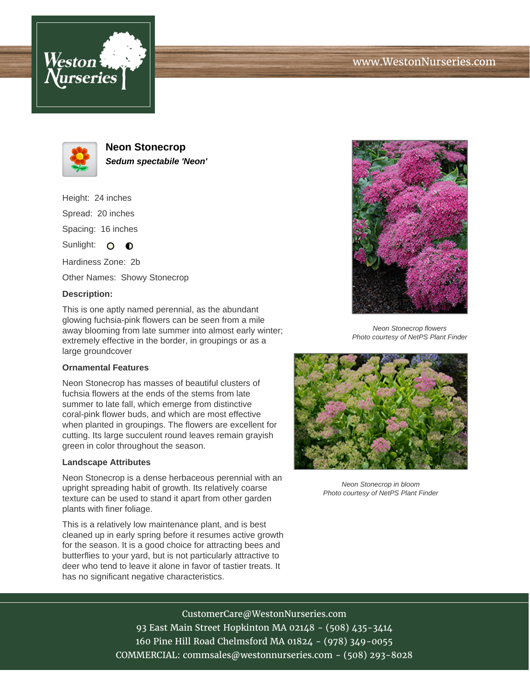





**Neon Stonecrop Sedum spectabile 'Neon'**

Height: 24 inches Spread: 20 inches Spacing: 16 inches Sunlight:  $\bullet$   $\bullet$ 

Hardiness Zone: 2b

Other Names: Showy Stonecrop

## **Description:**

This is one aptly named perennial, as the abundant glowing fuchsia-pink flowers can be seen from a mile away blooming from late summer into almost early winter; extremely effective in the border, in groupings or as a large groundcover

## **Ornamental Features**

Neon Stonecrop has masses of beautiful clusters of fuchsia flowers at the ends of the stems from late summer to late fall, which emerge from distinctive coral-pink flower buds, and which are most effective when planted in groupings. The flowers are excellent for cutting. Its large succulent round leaves remain grayish green in color throughout the season.

## **Landscape Attributes**

Neon Stonecrop is a dense herbaceous perennial with an upright spreading habit of growth. Its relatively coarse texture can be used to stand it apart from other garden plants with finer foliage.

This is a relatively low maintenance plant, and is best cleaned up in early spring before it resumes active growth for the season. It is a good choice for attracting bees and butterflies to your yard, but is not particularly attractive to deer who tend to leave it alone in favor of tastier treats. It has no significant negative characteristics.



Neon Stonecrop flowers Photo courtesy of NetPS Plant Finder



Neon Stonecrop in bloom Photo courtesy of NetPS Plant Finder

CustomerCare@WestonNurseries.com 93 East Main Street Hopkinton MA 02148 - (508) 435-3414 160 Pine Hill Road Chelmsford MA 01824 - (978) 349-0055 COMMERCIAL: commsales@westonnurseries.com - (508) 293-8028